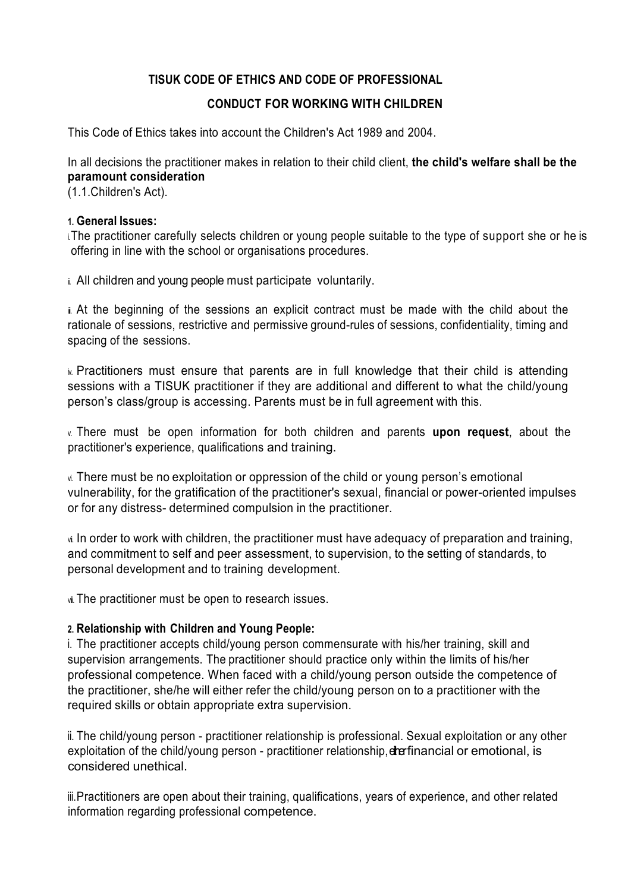## **TISUK CODE OF ETHICS AND CODE OF PROFESSIONAL**

## **CONDUCT FOR WORKING WITH CHILDREN**

This Code of Ethics takes into account the Children's Act 1989 and 2004.

In all decisions the practitioner makes in relation to their child client, **the child's welfare shall be the paramount consideration**

(1.1.Children's Act).

#### **1. General Issues:**

i.The practitioner carefully selects children or young people suitable to the type of support she or he is offering in line with the school or organisations procedures.

i. All children and young people must participate voluntarily.

i. At the beginning of the sessions an explicit contract must be made with the child about the rationale of sessions, restrictive and permissive ground-rules of sessions, confidentiality, timing and spacing of the sessions.

iv. Practitioners must ensure that parents are in full knowledge that their child is attending sessions with a TISUK practitioner if they are additional and different to what the child/young person's class/group is accessing. Parents must be in full agreement with this.

v. There must be open information for both children and parents **upon request**, about the practitioner's experience, qualifications and training.

vi. There must be no exploitation or oppression of the child or young person's emotional vulnerability, for the gratification of the practitioner's sexual, financial or power-oriented impulses or for any distress- determined compulsion in the practitioner.

vi. In order to work with children, the practitioner must have adequacy of preparation and training, and commitment to self and peer assessment, to supervision, to the setting of standards, to personal development and to training development.

viii. The practitioner must be open to research issues.

### **2. Relationship with Children and Young People:**

i. The practitioner accepts child/young person commensurate with his/her training, skill and supervision arrangements. The practitioner should practice only within the limits of his/her professional competence. When faced with a child/young person outside the competence of the practitioner, she/he will either refer the child/young person on to a practitioner with the required skills or obtain appropriate extra supervision.

ii. The child/young person - practitioner relationship is professional. Sexual exploitation or any other exploitation of the child/young person - practitioner relationship, der financial or emotional, is considered unethical.

iii.Practitioners are open about their training, qualifications, years of experience, and other related information regarding professional competence.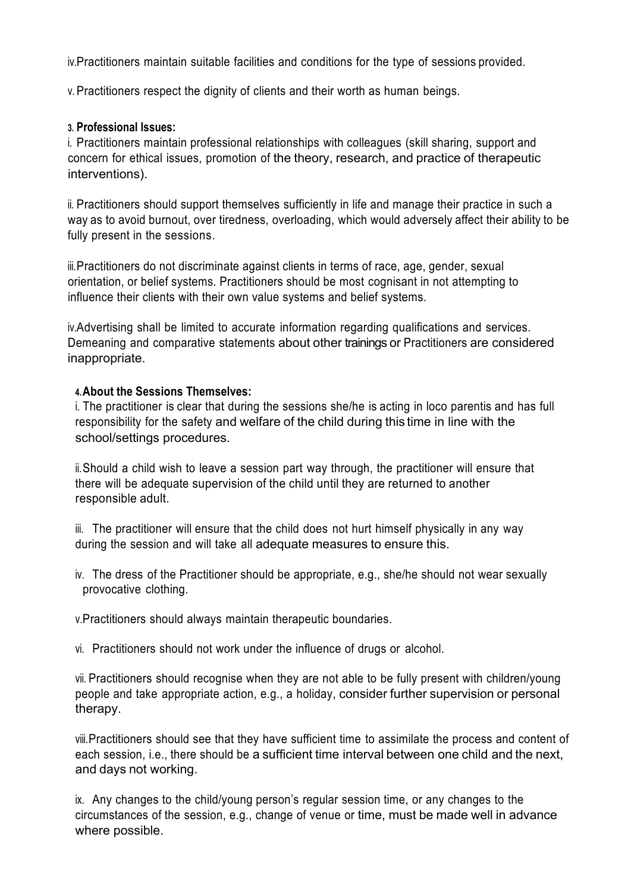iv.Practitioners maintain suitable facilities and conditions for the type of sessions provided.

v. Practitioners respect the dignity of clients and their worth as human beings.

### **3. Professional Issues:**

i. Practitioners maintain professional relationships with colleagues (skill sharing, support and concern for ethical issues, promotion of the theory, research, and practice of therapeutic interventions).

ii. Practitioners should support themselves sufficiently in life and manage their practice in such a way as to avoid burnout, over tiredness, overloading, which would adversely affect their ability to be fully present in the sessions.

iii.Practitioners do not discriminate against clients in terms of race, age, gender, sexual orientation, or belief systems. Practitioners should be most cognisant in not attempting to influence their clients with their own value systems and belief systems.

iv.Advertising shall be limited to accurate information regarding qualifications and services. Demeaning and comparative statements about other trainings or Practitioners are considered inappropriate.

#### **4.About the Sessions Themselves:**

i. The practitioner is clear that during the sessions she/he is acting in loco parentis and has full responsibility for the safety and welfare of the child during this time in line with the school/settings procedures.

ii.Should a child wish to leave a session part way through, the practitioner will ensure that there will be adequate supervision of the child until they are returned to another responsible adult.

iii. The practitioner will ensure that the child does not hurt himself physically in any way during the session and will take all adequate measures to ensure this.

iv. The dress of the Practitioner should be appropriate, e.g., she/he should not wear sexually provocative clothing.

v.Practitioners should always maintain therapeutic boundaries.

vi. Practitioners should not work under the influence of drugs or alcohol.

vii. Practitioners should recognise when they are not able to be fully present with children/young people and take appropriate action, e.g., a holiday, consider further supervision or personal therapy.

viii.Practitioners should see that they have sufficient time to assimilate the process and content of each session, i.e., there should be a sufficient time interval between one child and the next, and days not working.

ix. Any changes to the child/young person's regular session time, or any changes to the circumstances of the session, e.g., change of venue or time, must be made well in advance where possible.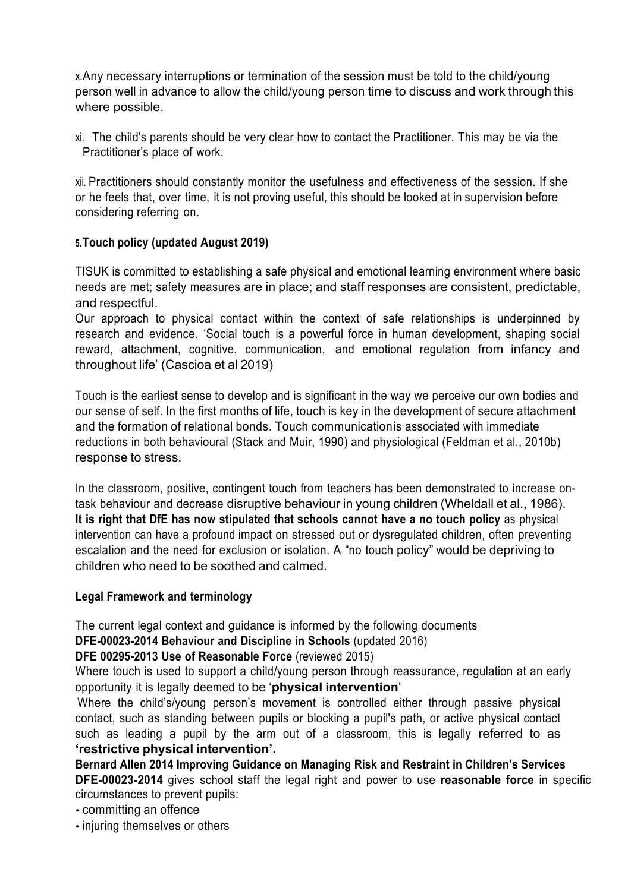x.Any necessary interruptions or termination of the session must be told to the child/young person well in advance to allow the child/young person time to discuss and work through this where possible.

xi. The child's parents should be very clear how to contact the Practitioner. This may be via the Practitioner's place of work.

xii. Practitioners should constantly monitor the usefulness and effectiveness of the session. If she or he feels that, over time, it is not proving useful, this should be looked at in supervision before considering referring on.

## **5.Touch policy (updated August 2019)**

TISUK is committed to establishing a safe physical and emotional learning environment where basic needs are met; safety measures are in place; and staff responses are consistent, predictable, and respectful.

Our approach to physical contact within the context of safe relationships is underpinned by research and evidence. 'Social touch is a powerful force in human development, shaping social reward, attachment, cognitive, communication, and emotional regulation from infancy and throughout life' (Cascioa et al 2019)

Touch is the earliest sense to develop and is significant in the way we perceive our own bodies and our sense of self. In the first months of life, touch is key in the development of secure attachment and the formation of relational bonds. Touch communicationis associated with immediate reductions in both behavioural (Stack and Muir, 1990) and physiological (Feldman et al., 2010b) response to stress.

In the classroom, positive, contingent touch from teachers has been demonstrated to increase ontask behaviour and decrease disruptive behaviour in young children (Wheldall et al., 1986). **It is right that DfE has now stipulated that schools cannot have a no touch policy** as physical intervention can have a profound impact on stressed out or dysregulated children, often preventing escalation and the need for exclusion or isolation. A "no touch policy" would be depriving to children who need to be soothed and calmed.

### **Legal Framework and terminology**

The current legal context and guidance is informed by the following documents

**DFE-00023-2014 Behaviour and Discipline in Schools** (updated 2016)

## **DFE 00295-2013 Use of Reasonable Force** (reviewed 2015)

Where touch is used to support a child/young person through reassurance, regulation at an early opportunity it is legally deemed to be '**physical intervention**'

Where the child's/voung person's movement is controlled either through passive physical contact, such as standing between pupils or blocking a pupil's path, or active physical contact such as leading a pupil by the arm out of a classroom, this is legally referred to as **'restrictive physical intervention'.**

**Bernard Allen 2014 Improving Guidance on Managing Risk and Restraint in Children's Services DFE-00023-2014** gives school staff the legal right and power to use **reasonable force** in specific circumstances to prevent pupils:

- committing an offence
- injuring themselves or others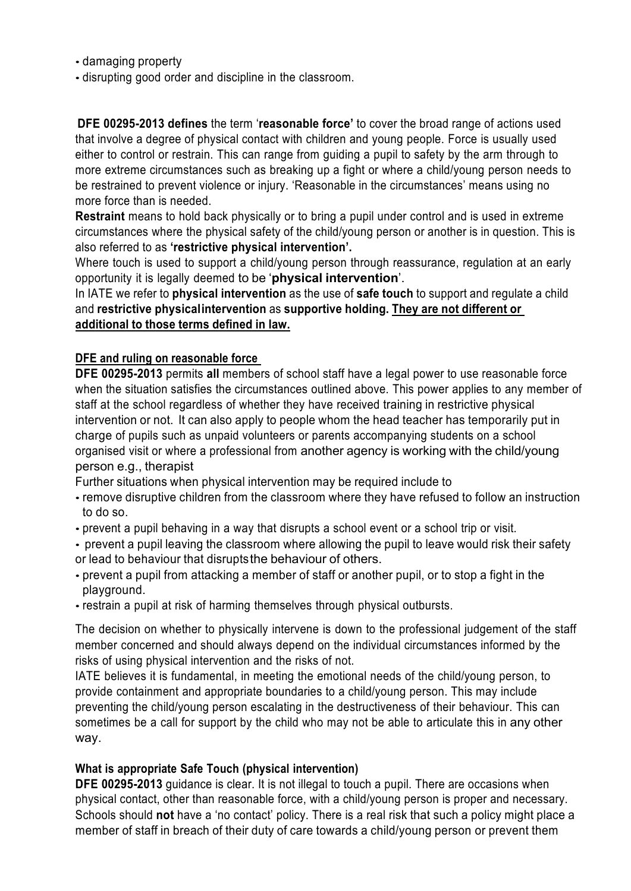- damaging property
- disrupting good order and discipline in the classroom.

**DFE 00295-2013 defines** the term '**reasonable force'** to cover the broad range of actions used that involve a degree of physical contact with children and young people. Force is usually used either to control or restrain. This can range from guiding a pupil to safety by the arm through to more extreme circumstances such as breaking up a fight or where a child/young person needs to be restrained to prevent violence or injury. 'Reasonable in the circumstances' means using no more force than is needed.

**Restraint** means to hold back physically or to bring a pupil under control and is used in extreme circumstances where the physical safety of the child/young person or another is in question. This is also referred to as **'restrictive physical intervention'.**

Where touch is used to support a child/young person through reassurance, regulation at an early opportunity it is legally deemed to be '**physical intervention**'.

In IATE we refer to **physical intervention** as the use of **safe touch** to support and regulate a child and **restrictive physicalintervention** as **supportive holding. They are not different or additional to those terms defined in law.**

### **DFE and ruling on reasonable force**

**DFE 00295-2013** permits **all** members of school staff have a legal power to use reasonable force when the situation satisfies the circumstances outlined above. This power applies to any member of staff at the school regardless of whether they have received training in restrictive physical intervention or not. It can also apply to people whom the head teacher has temporarily put in charge of pupils such as unpaid volunteers or parents accompanying students on a school organised visit or where a professional from another agency is working with the child/young person e.g., therapist

Further situations when physical intervention may be required include to

- remove disruptive children from the classroom where they have refused to follow an instruction to do so.
- prevent a pupil behaving in a way that disrupts a school event or a school trip or visit.

• prevent a pupil leaving the classroom where allowing the pupil to leave would risk their safety or lead to behaviour that disruptsthe behaviour of others.

- prevent a pupil from attacking a member of staff or another pupil, or to stop a fight in the playground.
- restrain a pupil at risk of harming themselves through physical outbursts.

The decision on whether to physically intervene is down to the professional judgement of the staff member concerned and should always depend on the individual circumstances informed by the risks of using physical intervention and the risks of not.

IATE believes it is fundamental, in meeting the emotional needs of the child/young person, to provide containment and appropriate boundaries to a child/young person. This may include preventing the child/young person escalating in the destructiveness of their behaviour. This can sometimes be a call for support by the child who may not be able to articulate this in any other way.

### **What is appropriate Safe Touch (physical intervention)**

**DFE 00295-2013** guidance is clear. It is not illegal to touch a pupil. There are occasions when physical contact, other than reasonable force, with a child/young person is proper and necessary. Schools should **not** have a 'no contact' policy. There is a real risk that such a policy might place a member of staff in breach of their duty of care towards a child/young person or prevent them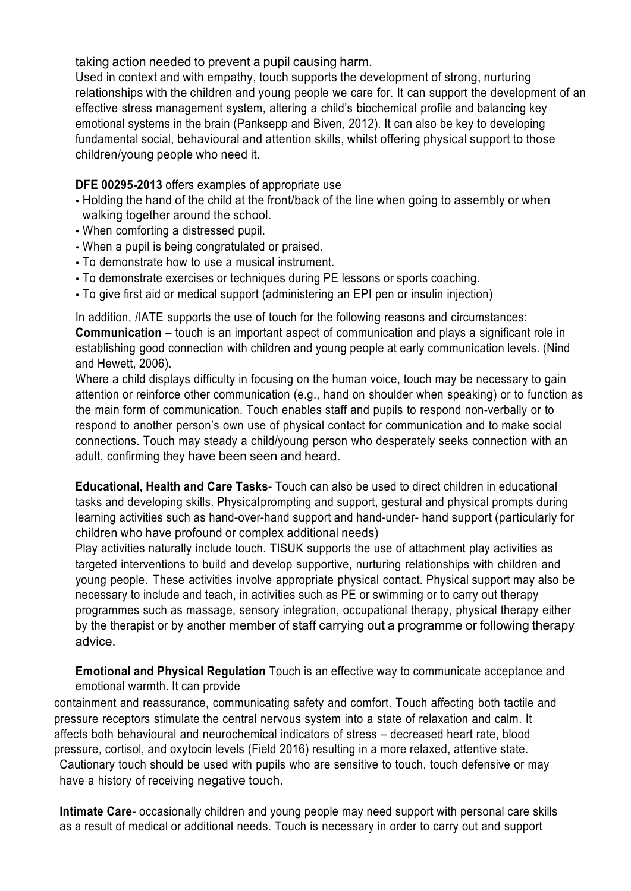taking action needed to prevent a pupil causing harm.

Used in context and with empathy, touch supports the development of strong, nurturing relationships with the children and young people we care for. It can support the development of an effective stress management system, altering a child's biochemical profile and balancing key emotional systems in the brain (Panksepp and Biven, 2012). It can also be key to developing fundamental social, behavioural and attention skills, whilst offering physical support to those children/young people who need it.

## **DFE 00295-2013** offers examples of appropriate use

- Holding the hand of the child at the front/back of the line when going to assembly or when walking together around the school.
- When comforting a distressed pupil.
- When a pupil is being congratulated or praised.
- To demonstrate how to use a musical instrument.
- To demonstrate exercises or techniques during PE lessons or sports coaching.
- To give first aid or medical support (administering an EPI pen or insulin injection)

In addition, /IATE supports the use of touch for the following reasons and circumstances: **Communication** – touch is an important aspect of communication and plays a significant role in establishing good connection with children and young people at early communication levels. (Nind and Hewett, 2006).

Where a child displays difficulty in focusing on the human voice, touch may be necessary to gain attention or reinforce other communication (e.g., hand on shoulder when speaking) or to function as the main form of communication. Touch enables staff and pupils to respond non-verbally or to respond to another person's own use of physical contact for communication and to make social connections. Touch may steady a child/young person who desperately seeks connection with an adult, confirming they have been seen and heard.

**Educational, Health and Care Tasks**- Touch can also be used to direct children in educational tasks and developing skills. Physicalprompting and support, gestural and physical prompts during learning activities such as hand-over-hand support and hand-under- hand support (particularly for children who have profound or complex additional needs)

Play activities naturally include touch. TISUK supports the use of attachment play activities as targeted interventions to build and develop supportive, nurturing relationships with children and young people. These activities involve appropriate physical contact. Physical support may also be necessary to include and teach, in activities such as PE or swimming or to carry out therapy programmes such as massage, sensory integration, occupational therapy, physical therapy either by the therapist or by another member of staff carrying out a programme or following therapy advice.

**Emotional and Physical Regulation** Touch is an effective way to communicate acceptance and emotional warmth. It can provide

containment and reassurance, communicating safety and comfort. Touch affecting both tactile and pressure receptors stimulate the central nervous system into a state of relaxation and calm. It affects both behavioural and neurochemical indicators of stress – decreased heart rate, blood pressure, cortisol, and oxytocin levels (Field 2016) resulting in a more relaxed, attentive state. Cautionary touch should be used with pupils who are sensitive to touch, touch defensive or may

have a history of receiving negative touch.

**Intimate Care**- occasionally children and young people may need support with personal care skills as a result of medical or additional needs. Touch is necessary in order to carry out and support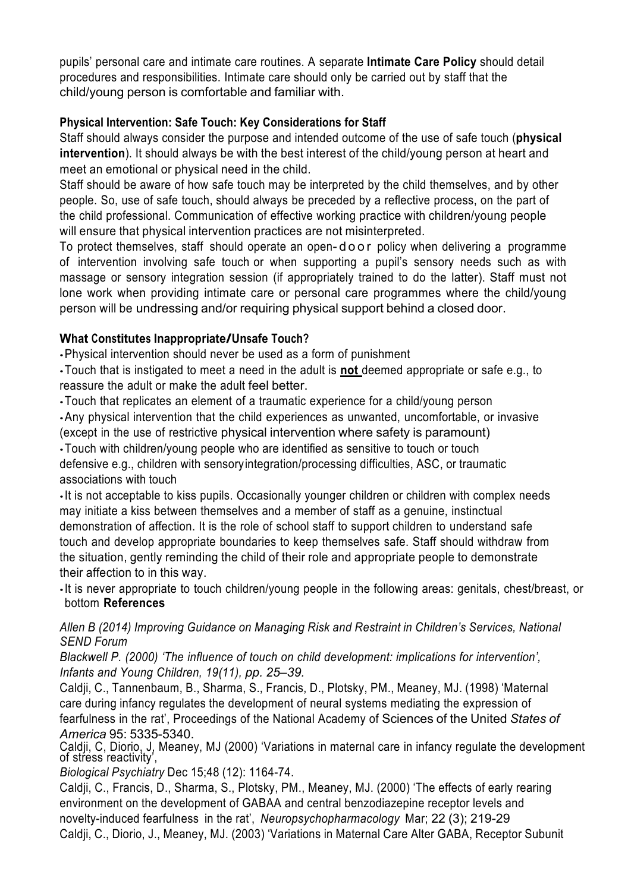pupils' personal care and intimate care routines. A separate **Intimate Care Policy** should detail procedures and responsibilities. Intimate care should only be carried out by staff that the child/young person is comfortable and familiar with.

# **Physical Intervention: Safe Touch: Key Considerations for Staff**

Staff should always consider the purpose and intended outcome of the use of safe touch (**physical intervention**). It should always be with the best interest of the child/young person at heart and meet an emotional or physical need in the child.

Staff should be aware of how safe touch may be interpreted by the child themselves, and by other people. So, use of safe touch, should always be preceded by a reflective process, on the part of the child professional. Communication of effective working practice with children/young people will ensure that physical intervention practices are not misinterpreted.

To protect themselves, staff should operate an open- door policy when delivering a programme of intervention involving safe touch or when supporting a pupil's sensory needs such as with massage or sensory integration session (if appropriately trained to do the latter). Staff must not lone work when providing intimate care or personal care programmes where the child/young person will be undressing and/or requiring physical support behind a closed door.

# **What Constitutes Inappropriate/Unsafe Touch?**

•Physical intervention should never be used as a form of punishment

•Touch that is instigated to meet a need in the adult is **not** deemed appropriate or safe e.g., to reassure the adult or make the adult feel better.

•Touch that replicates an element of a traumatic experience for a child/young person

•Any physical intervention that the child experiences as unwanted, uncomfortable, or invasive

(except in the use of restrictive physical intervention where safety is paramount)

•Touch with children/young people who are identified as sensitive to touch or touch defensive e.g., children with sensoryintegration/processing difficulties, ASC, or traumatic associations with touch

•It is not acceptable to kiss pupils. Occasionally younger children or children with complex needs may initiate a kiss between themselves and a member of staff as a genuine, instinctual demonstration of affection. It is the role of school staff to support children to understand safe touch and develop appropriate boundaries to keep themselves safe. Staff should withdraw from the situation, gently reminding the child of their role and appropriate people to demonstrate their affection to in this way.

•It is never appropriate to touch children/young people in the following areas: genitals, chest/breast, or bottom **References**

*Allen B (2014) Improving Guidance on Managing Risk and Restraint in Children's Services, National SEND Forum*

*Blackwell P. (2000) 'The influence of touch on child development: implications for intervention', Infants and Young Children, 19(11), pp. 25–39.*

Caldji, C., Tannenbaum, B., Sharma, S., Francis, D., Plotsky, PM., Meaney, MJ. (1998) 'Maternal care during infancy regulates the development of neural systems mediating the expression of fearfulness in the rat', Proceedings of the National Academy of Sciences of the United *States of America* 95: 5335-5340.

Caldji, C, Diorio, J, Meaney, MJ (2000) 'Variations in maternal care in infancy regulate the development of stress reactivity',

*Biological Psychiatry* Dec 15;48 (12): 1164-74.

Caldji, C., Francis, D., Sharma, S., Plotsky, PM., Meaney, MJ. (2000) 'The effects of early rearing environment on the development of GABAA and central benzodiazepine receptor levels and novelty-induced fearfulness in the rat', *Neuropsychopharmacology* Mar; 22 (3); 219-29 Caldji, C., Diorio, J., Meaney, MJ. (2003) 'Variations in Maternal Care Alter GABA, Receptor Subunit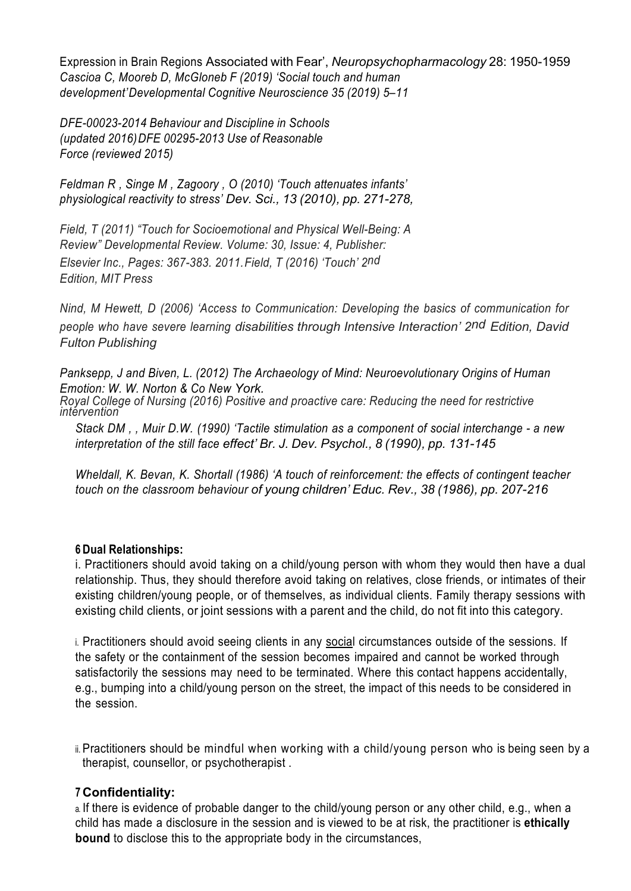Expression in Brain Regions Associated with Fear', *Neuropsychopharmacology* 28: 1950-1959 *Cascioa C, Mooreb D, McGloneb F (2019) 'Social touch and human development'Developmental Cognitive Neuroscience 35 (2019) 5–11*

*DFE-00023-2014 Behaviour and Discipline in Schools (updated 2016)DFE 00295-2013 Use of Reasonable Force (reviewed 2015)*

*Feldman R , Singe M , Zagoory , O (2010) 'Touch attenuates infants' physiological reactivity to stress' Dev. Sci., 13 (2010), pp. 271-278,*

*Field, T (2011) "Touch for Socioemotional and Physical Well-Being: A Review" Developmental Review. Volume: 30, Issue: 4, Publisher: Elsevier Inc., Pages: 367-383. 2011.Field, T (2016) 'Touch' 2nd Edition, MIT Press*

*Nind, M Hewett, D (2006) 'Access to Communication: Developing the basics of communication for people who have severe learning disabilities through Intensive Interaction' 2nd Edition, David Fulton Publishing*

*Panksepp, J and Biven, L. (2012) The Archaeology of Mind: Neuroevolutionary Origins of Human Emotion: W. W. Norton & Co New York. Royal College of Nursing (2016) Positive and proactive care: Reducing the need for restrictive intervention*

*Stack DM , , Muir D.W. (1990) 'Tactile stimulation as a component of social interchange - a new interpretation of the still face effect' Br. J. Dev. Psychol., 8 (1990), pp. 131-145*

*Wheldall, K. Bevan, K. Shortall (1986) 'A touch of reinforcement: the effects of contingent teacher touch on the classroom behaviour of young children' Educ. Rev., 38 (1986), pp. 207-216*

### **6 Dual Relationships:**

i. Practitioners should avoid taking on a child/young person with whom they would then have a dual relationship. Thus, they should therefore avoid taking on relatives, close friends, or intimates of their existing children/young people, or of themselves, as individual clients. Family therapy sessions with existing child clients, or joint sessions with a parent and the child, do not fit into this category.

i. Practitioners should avoid seeing clients in any social circumstances outside of the sessions. If the safety or the containment of the session becomes impaired and cannot be worked through satisfactorily the sessions may need to be terminated. Where this contact happens accidentally, e.g., bumping into a child/young person on the street, the impact of this needs to be considered in the session.

ii. Practitioners should be mindful when working with a child/young person who is being seen by a therapist, counsellor, or psychotherapist .

### **7 Confidentiality:**

a. If there is evidence of probable danger to the child/young person or any other child, e.g., when a child has made a disclosure in the session and is viewed to be at risk, the practitioner is **ethically bound** to disclose this to the appropriate body in the circumstances,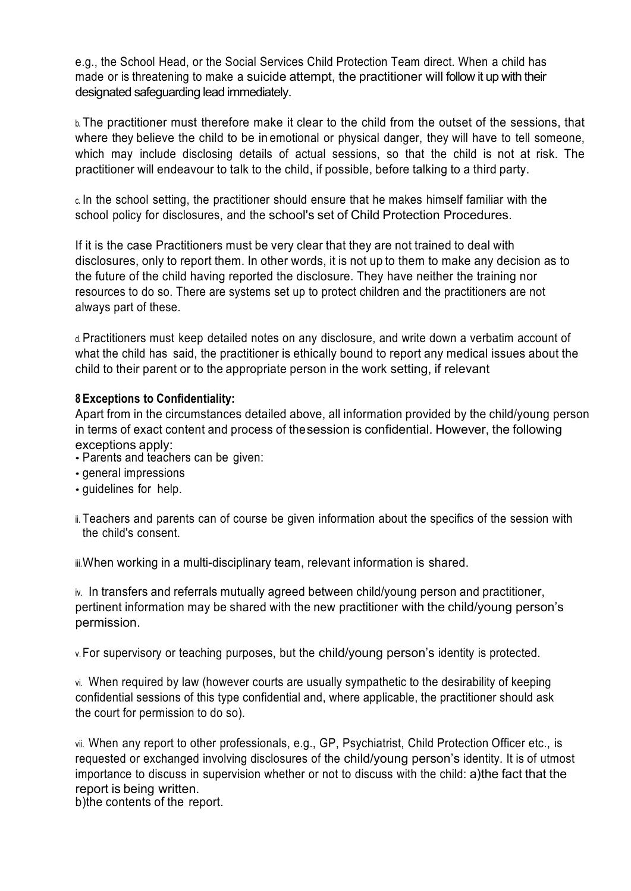e.g., the School Head, or the Social Services Child Protection Team direct. When a child has made or is threatening to make a suicide attempt, the practitioner will follow it up with their designated safeguarding lead immediately.

b. The practitioner must therefore make it clear to the child from the outset of the sessions, that where they believe the child to be in emotional or physical danger, they will have to tell someone, which may include disclosing details of actual sessions, so that the child is not at risk. The practitioner will endeavour to talk to the child, if possible, before talking to a third party.

c. In the school setting, the practitioner should ensure that he makes himself familiar with the school policy for disclosures, and the school's set of Child Protection Procedures.

If it is the case Practitioners must be very clear that they are not trained to deal with disclosures, only to report them. In other words, it is not up to them to make any decision as to the future of the child having reported the disclosure. They have neither the training nor resources to do so. There are systems set up to protect children and the practitioners are not always part of these.

d. Practitioners must keep detailed notes on any disclosure, and write down a verbatim account of what the child has said, the practitioner is ethically bound to report any medical issues about the child to their parent or to the appropriate person in the work setting, if relevant

## **8 Exceptions to Confidentiality:**

Apart from in the circumstances detailed above, all information provided by the child/young person in terms of exact content and process of thesession is confidential. However, the following exceptions apply:

- Parents and teachers can be given:
- general impressions
- guidelines for help.
- ii. Teachers and parents can of course be given information about the specifics of the session with the child's consent.

iii.When working in a multi-disciplinary team, relevant information is shared.

iv. In transfers and referrals mutually agreed between child/young person and practitioner, pertinent information may be shared with the new practitioner with the child/young person's permission.

v.For supervisory or teaching purposes, but the child/young person's identity is protected.

vi. When required by law (however courts are usually sympathetic to the desirability of keeping confidential sessions of this type confidential and, where applicable, the practitioner should ask the court for permission to do so).

vii. When any report to other professionals, e.g., GP, Psychiatrist, Child Protection Officer etc., is requested or exchanged involving disclosures of the child/young person's identity. It is of utmost importance to discuss in supervision whether or not to discuss with the child: a)the fact that the report is being written.

b)the contents of the report.